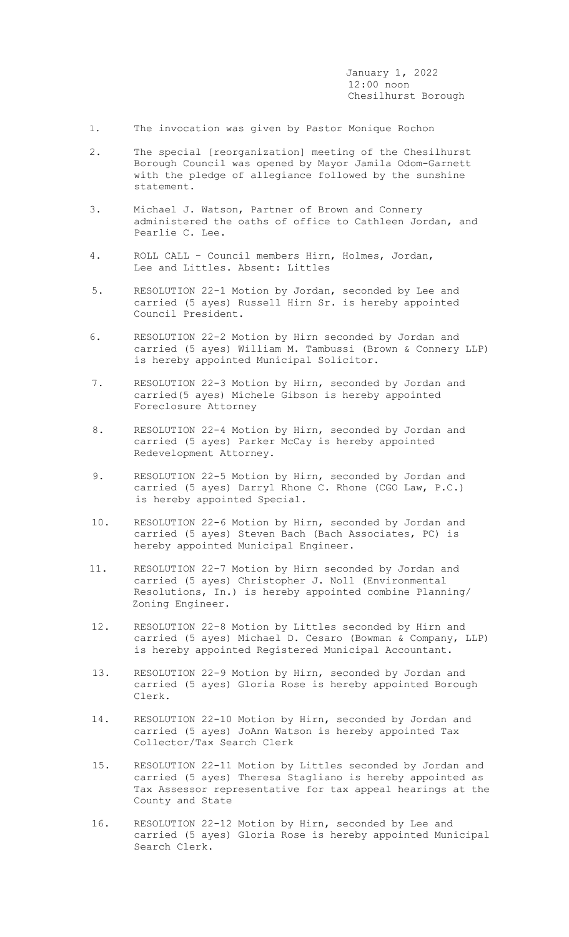January 1, 2022 12:00 noon Chesilhurst Borough

- 1. The invocation was given by Pastor Monique Rochon
- 2. The special [reorganization] meeting of the Chesilhurst Borough Council was opened by Mayor Jamila Odom-Garnett with the pledge of allegiance followed by the sunshine statement.
- 3. Michael J. Watson, Partner of Brown and Connery administered the oaths of office to Cathleen Jordan, and Pearlie C. Lee.
- 4. ROLL CALL Council members Hirn, Holmes, Jordan, Lee and Littles. Absent: Littles
- 5. RESOLUTION 22-1 Motion by Jordan, seconded by Lee and carried (5 ayes) Russell Hirn Sr. is hereby appointed Council President.
- 6. RESOLUTION 22-2 Motion by Hirn seconded by Jordan and carried (5 ayes) William M. Tambussi (Brown & Connery LLP) is hereby appointed Municipal Solicitor.
- 7. RESOLUTION 22-3 Motion by Hirn, seconded by Jordan and carried(5 ayes) Michele Gibson is hereby appointed Foreclosure Attorney
- 8. RESOLUTION 22-4 Motion by Hirn, seconded by Jordan and carried (5 ayes) Parker McCay is hereby appointed Redevelopment Attorney.
- 9. RESOLUTION 22-5 Motion by Hirn, seconded by Jordan and carried (5 ayes) Darryl Rhone C. Rhone (CGO Law, P.C.) is hereby appointed Special.
- 10. RESOLUTION 22-6 Motion by Hirn, seconded by Jordan and carried (5 ayes) Steven Bach (Bach Associates, PC) is hereby appointed Municipal Engineer.
- 11. RESOLUTION 22-7 Motion by Hirn seconded by Jordan and carried (5 ayes) Christopher J. Noll (Environmental Resolutions, In.) is hereby appointed combine Planning/ Zoning Engineer.
- 12. RESOLUTION 22-8 Motion by Littles seconded by Hirn and carried (5 ayes) Michael D. Cesaro (Bowman & Company, LLP) is hereby appointed Registered Municipal Accountant.
- 13. RESOLUTION 22-9 Motion by Hirn, seconded by Jordan and carried (5 ayes) Gloria Rose is hereby appointed Borough Clerk.
- 14. RESOLUTION 22-10 Motion by Hirn, seconded by Jordan and carried (5 ayes) JoAnn Watson is hereby appointed Tax Collector/Tax Search Clerk
- 15. RESOLUTION 22-11 Motion by Littles seconded by Jordan and carried (5 ayes) Theresa Stagliano is hereby appointed as Tax Assessor representative for tax appeal hearings at the County and State
- 16. RESOLUTION 22-12 Motion by Hirn, seconded by Lee and carried (5 ayes) Gloria Rose is hereby appointed Municipal Search Clerk.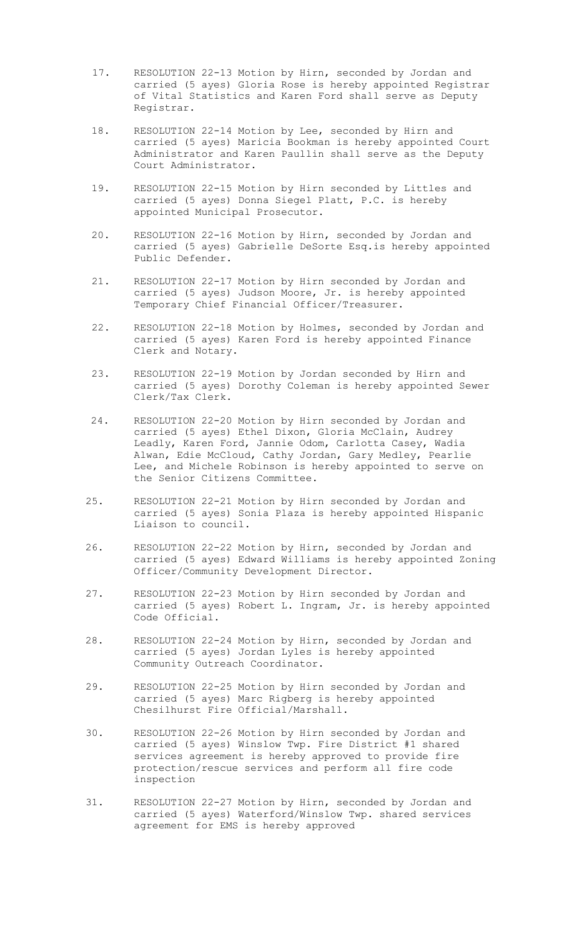- 17. RESOLUTION 22-13 Motion by Hirn, seconded by Jordan and carried (5 ayes) Gloria Rose is hereby appointed Registrar of Vital Statistics and Karen Ford shall serve as Deputy Registrar.
- 18. RESOLUTION 22-14 Motion by Lee, seconded by Hirn and carried (5 ayes) Maricia Bookman is hereby appointed Court Administrator and Karen Paullin shall serve as the Deputy Court Administrator.
- 19**.** RESOLUTION 22-15 Motion by Hirn seconded by Littles and carried (5 ayes) Donna Siegel Platt, P.C. is hereby appointed Municipal Prosecutor.
- 20. RESOLUTION 22-16 Motion by Hirn, seconded by Jordan and carried (5 ayes) Gabrielle DeSorte Esq.is hereby appointed Public Defender.
- 21. RESOLUTION 22-17 Motion by Hirn seconded by Jordan and carried (5 ayes) Judson Moore, Jr. is hereby appointed Temporary Chief Financial Officer/Treasurer.
- 22. RESOLUTION 22-18 Motion by Holmes, seconded by Jordan and carried (5 ayes) Karen Ford is hereby appointed Finance Clerk and Notary.
- 23. RESOLUTION 22-19 Motion by Jordan seconded by Hirn and carried (5 ayes) Dorothy Coleman is hereby appointed Sewer Clerk/Tax Clerk.
- 24. RESOLUTION 22-20 Motion by Hirn seconded by Jordan and carried (5 ayes) Ethel Dixon, Gloria McClain, Audrey Leadly, Karen Ford, Jannie Odom, Carlotta Casey, Wadia Alwan, Edie McCloud, Cathy Jordan, Gary Medley, Pearlie Lee, and Michele Robinson is hereby appointed to serve on the Senior Citizens Committee.
- 25. RESOLUTION 22-21 Motion by Hirn seconded by Jordan and carried (5 ayes) Sonia Plaza is hereby appointed Hispanic Liaison to council.
- 26. RESOLUTION 22-22 Motion by Hirn, seconded by Jordan and carried (5 ayes) Edward Williams is hereby appointed Zoning Officer/Community Development Director.
- 27. RESOLUTION 22-23 Motion by Hirn seconded by Jordan and carried (5 ayes) Robert L. Ingram, Jr. is hereby appointed Code Official.
- 28. RESOLUTION 22-24 Motion by Hirn, seconded by Jordan and carried (5 ayes) Jordan Lyles is hereby appointed Community Outreach Coordinator.
- 29. RESOLUTION 22-25 Motion by Hirn seconded by Jordan and carried (5 ayes) Marc Rigberg is hereby appointed Chesilhurst Fire Official/Marshall.
- 30. RESOLUTION 22-26 Motion by Hirn seconded by Jordan and carried (5 ayes) Winslow Twp. Fire District #1 shared services agreement is hereby approved to provide fire protection/rescue services and perform all fire code inspection
- 31. RESOLUTION 22-27 Motion by Hirn, seconded by Jordan and carried (5 ayes) Waterford/Winslow Twp. shared services agreement for EMS is hereby approved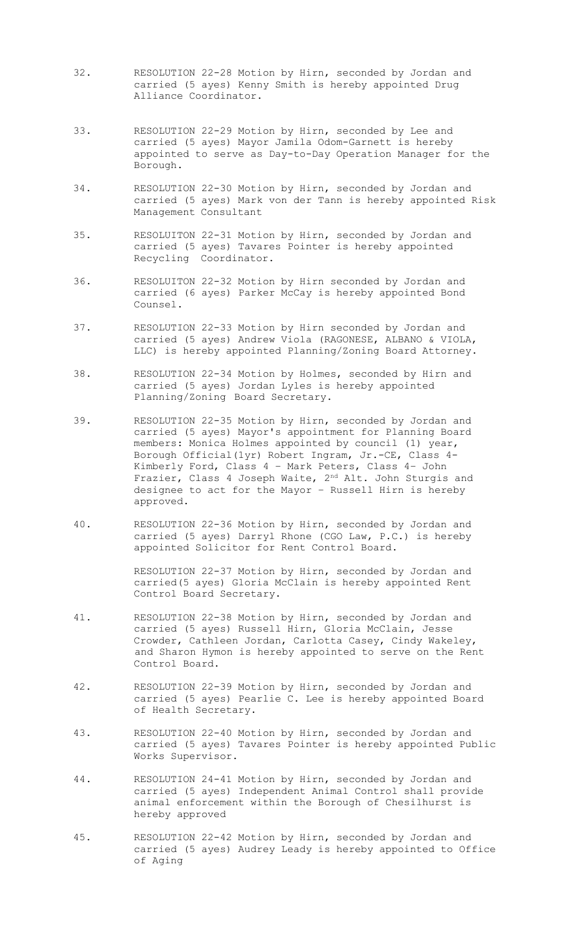- 32. RESOLUTION 22-28 Motion by Hirn, seconded by Jordan and carried (5 ayes) Kenny Smith is hereby appointed Drug Alliance Coordinator.
- 33. RESOLUTION 22-29 Motion by Hirn, seconded by Lee and carried (5 ayes) Mayor Jamila Odom-Garnett is hereby appointed to serve as Day-to-Day Operation Manager for the Borough.
- 34. RESOLUTION 22-30 Motion by Hirn, seconded by Jordan and carried (5 ayes) Mark von der Tann is hereby appointed Risk Management Consultant
- 35. RESOLUITON 22-31 Motion by Hirn, seconded by Jordan and carried (5 ayes) Tavares Pointer is hereby appointed Recycling Coordinator.
- 36. RESOLUITON 22-32 Motion by Hirn seconded by Jordan and carried (6 ayes) Parker McCay is hereby appointed Bond Counsel.
- 37. RESOLUTION 22-33 Motion by Hirn seconded by Jordan and carried (5 ayes) Andrew Viola (RAGONESE, ALBANO & VIOLA, LLC) is hereby appointed Planning/Zoning Board Attorney.
- 38. RESOLUTION 22-34 Motion by Holmes, seconded by Hirn and carried (5 ayes) Jordan Lyles is hereby appointed Planning/Zoning Board Secretary.
- 39. RESOLUTION 22-35 Motion by Hirn, seconded by Jordan and carried (5 ayes) Mayor's appointment for Planning Board members: Monica Holmes appointed by council (1) year, Borough Official(1yr) Robert Ingram, Jr.-CE, Class 4- Kimberly Ford, Class 4 – Mark Peters, Class 4– John Frazier, Class 4 Joseph Waite, 2<sup>nd</sup> Alt. John Sturgis and designee to act for the Mayor – Russell Hirn is hereby approved.
- 40**.** RESOLUTION 22-36 Motion by Hirn, seconded by Jordan and carried (5 ayes) Darryl Rhone (CGO Law, P.C.) is hereby appointed Solicitor for Rent Control Board.

RESOLUTION 22-37 Motion by Hirn, seconded by Jordan and carried(5 ayes) Gloria McClain is hereby appointed Rent Control Board Secretary.

- 41. RESOLUTION 22-38 Motion by Hirn, seconded by Jordan and carried (5 ayes) Russell Hirn, Gloria McClain, Jesse Crowder, Cathleen Jordan, Carlotta Casey, Cindy Wakeley, and Sharon Hymon is hereby appointed to serve on the Rent Control Board.
- 42. RESOLUTION 22-39 Motion by Hirn, seconded by Jordan and carried (5 ayes) Pearlie C. Lee is hereby appointed Board of Health Secretary.
- 43. RESOLUTION 22-40 Motion by Hirn, seconded by Jordan and carried (5 ayes) Tavares Pointer is hereby appointed Public Works Supervisor.
- 44. RESOLUTION 24-41 Motion by Hirn, seconded by Jordan and carried (5 ayes) Independent Animal Control shall provide animal enforcement within the Borough of Chesilhurst is hereby approved
- 45. RESOLUTION 22-42 Motion by Hirn, seconded by Jordan and carried (5 ayes) Audrey Leady is hereby appointed to Office of Aging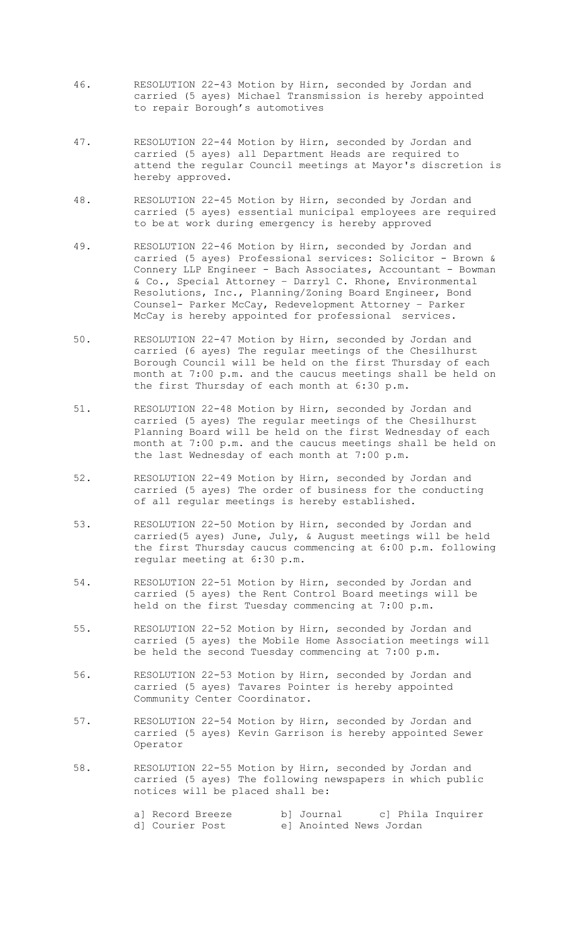- 46. RESOLUTION 22-43 Motion by Hirn, seconded by Jordan and carried (5 ayes) Michael Transmission is hereby appointed to repair Borough's automotives
- 47. RESOLUTION 22-44 Motion by Hirn, seconded by Jordan and carried (5 ayes) all Department Heads are required to attend the regular Council meetings at Mayor's discretion is hereby approved.
- 48. RESOLUTION 22-45 Motion by Hirn, seconded by Jordan and carried (5 ayes) essential municipal employees are required to be at work during emergency is hereby approved
- 49. RESOLUTION 22-46 Motion by Hirn, seconded by Jordan and carried (5 ayes) Professional services: Solicitor - Brown & Connery LLP Engineer - Bach Associates, Accountant - Bowman & Co., Special Attorney – Darryl C. Rhone, Environmental Resolutions, Inc., Planning/Zoning Board Engineer, Bond Counsel- Parker McCay, Redevelopment Attorney – Parker McCay is hereby appointed for professional services.
- 50. RESOLUTION 22-47 Motion by Hirn, seconded by Jordan and carried (6 ayes) The regular meetings of the Chesilhurst Borough Council will be held on the first Thursday of each month at 7:00 p.m. and the caucus meetings shall be held on the first Thursday of each month at 6:30 p.m.
- 51. RESOLUTION 22-48 Motion by Hirn, seconded by Jordan and carried (5 ayes) The regular meetings of the Chesilhurst Planning Board will be held on the first Wednesday of each month at 7:00 p.m. and the caucus meetings shall be held on the last Wednesday of each month at 7:00 p.m.
- 52. RESOLUTION 22-49 Motion by Hirn, seconded by Jordan and carried (5 ayes) The order of business for the conducting of all regular meetings is hereby established.
- 53. RESOLUTION 22-50 Motion by Hirn, seconded by Jordan and carried(5 ayes) June, July, & August meetings will be held the first Thursday caucus commencing at 6:00 p.m. following regular meeting at 6:30 p.m.
- 54. RESOLUTION 22-51 Motion by Hirn, seconded by Jordan and carried (5 ayes) the Rent Control Board meetings will be held on the first Tuesday commencing at 7:00 p.m.
- 55. RESOLUTION 22-52 Motion by Hirn, seconded by Jordan and carried (5 ayes) the Mobile Home Association meetings will be held the second Tuesday commencing at 7:00 p.m.
- 56. RESOLUTION 22-53 Motion by Hirn, seconded by Jordan and carried (5 ayes) Tavares Pointer is hereby appointed Community Center Coordinator.
- 57. RESOLUTION 22-54 Motion by Hirn, seconded by Jordan and carried (5 ayes) Kevin Garrison is hereby appointed Sewer Operator
- 58. RESOLUTION 22-55 Motion by Hirn, seconded by Jordan and carried (5 ayes) The following newspapers in which public notices will be placed shall be:

| al Record Breeze | bl Journal              |  | c] Phila Inquirer |
|------------------|-------------------------|--|-------------------|
| d] Courier Post  | el Anointed News Jordan |  |                   |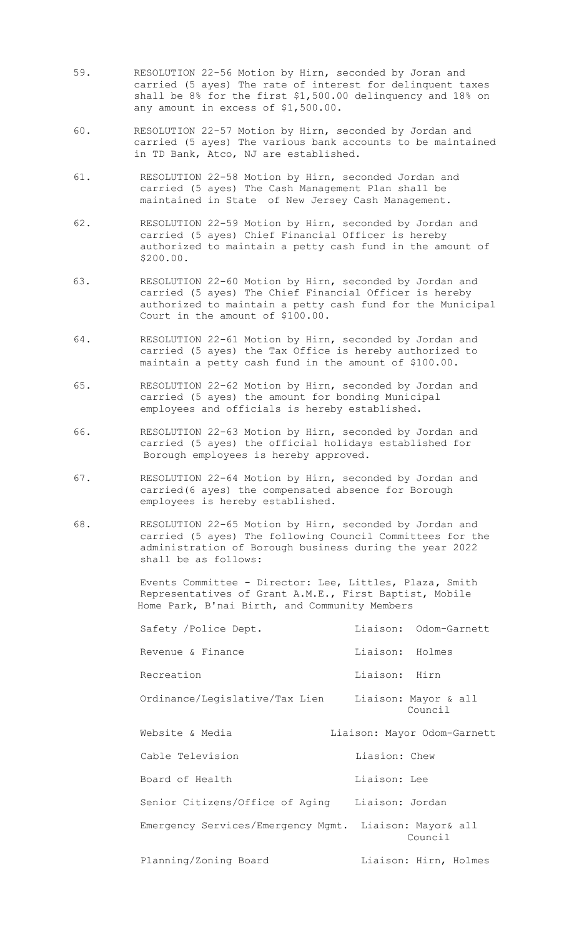- 59. RESOLUTION 22-56 Motion by Hirn, seconded by Joran and carried (5 ayes) The rate of interest for delinquent taxes shall be 8% for the first \$1,500.00 delinquency and 18% on any amount in excess of \$1,500.00.
- 60. RESOLUTION 22-57 Motion by Hirn, seconded by Jordan and carried (5 ayes) The various bank accounts to be maintained in TD Bank, Atco, NJ are established.
- 61. RESOLUTION 22-58 Motion by Hirn, seconded Jordan and carried (5 ayes) The Cash Management Plan shall be maintained in State of New Jersey Cash Management.
- 62. RESOLUTION 22-59 Motion by Hirn, seconded by Jordan and carried (5 ayes) Chief Financial Officer is hereby authorized to maintain a petty cash fund in the amount of \$200.00.
- 63. RESOLUTION 22-60 Motion by Hirn, seconded by Jordan and carried (5 ayes) The Chief Financial Officer is hereby authorized to maintain a petty cash fund for the Municipal Court in the amount of \$100.00.
- 64. RESOLUTION 22-61 Motion by Hirn, seconded by Jordan and carried (5 ayes) the Tax Office is hereby authorized to maintain a petty cash fund in the amount of \$100.00.
- 65. RESOLUTION 22-62 Motion by Hirn, seconded by Jordan and carried (5 ayes) the amount for bonding Municipal employees and officials is hereby established.
- 66. RESOLUTION 22-63 Motion by Hirn, seconded by Jordan and carried (5 ayes) the official holidays established for Borough employees is hereby approved.
- 67. RESOLUTION 22-64 Motion by Hirn, seconded by Jordan and carried(6 ayes) the compensated absence for Borough employees is hereby established.
- 68. RESOLUTION 22-65 Motion by Hirn, seconded by Jordan and carried (5 ayes) The following Council Committees for the administration of Borough business during the year 2022 shall be as follows:

Events Committee - Director: Lee, Littles, Plaza**,** Smith Representatives of Grant A.M.E., First Baptist, Mobile Home Park, B'nai Birth, and Community Members

| Safety / Police Dept.                                  | Liaison: Odom-Garnett           |
|--------------------------------------------------------|---------------------------------|
| Revenue & Finance                                      | Liaison: Holmes                 |
| Recreation                                             | Liaison: Hirn                   |
| Ordinance/Legislative/Tax Lien                         | Liaison: Mayor & all<br>Council |
| Website & Media                                        | Liaison: Mayor Odom-Garnett     |
| Cable Television                                       | Liasion: Chew                   |
| Board of Health                                        | Liaison: Lee                    |
| Senior Citizens/Office of Aging Liaison: Jordan        |                                 |
| Emergency Services/Emergency Mgmt. Liaison: Mayor& all | Council                         |
| Planning/Zoning Board                                  | Liaison: Hirn, Holmes           |